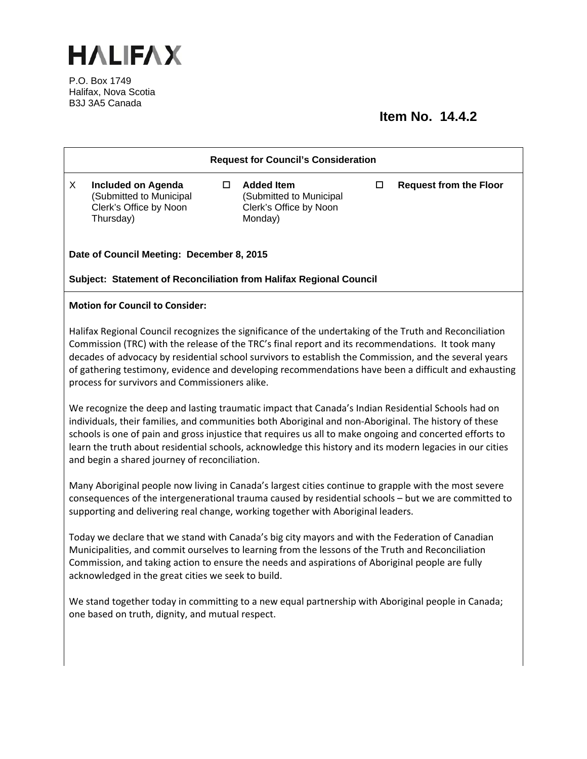

P.O. Box 1749 Halifax, Nova Scotia B3J 3A5 Canada

## **Item No. 14.4.2**

| <b>Request for Council's Consideration</b>                                                                                                                                                                                                                                                                                                                                                                                                                                            |                                                                                |        |                                                                                   |        |                               |
|---------------------------------------------------------------------------------------------------------------------------------------------------------------------------------------------------------------------------------------------------------------------------------------------------------------------------------------------------------------------------------------------------------------------------------------------------------------------------------------|--------------------------------------------------------------------------------|--------|-----------------------------------------------------------------------------------|--------|-------------------------------|
| X<br>Thursday)                                                                                                                                                                                                                                                                                                                                                                                                                                                                        | <b>Included on Agenda</b><br>(Submitted to Municipal<br>Clerk's Office by Noon | $\Box$ | <b>Added Item</b><br>(Submitted to Municipal<br>Clerk's Office by Noon<br>Monday) | $\Box$ | <b>Request from the Floor</b> |
| Date of Council Meeting: December 8, 2015                                                                                                                                                                                                                                                                                                                                                                                                                                             |                                                                                |        |                                                                                   |        |                               |
| Subject: Statement of Reconciliation from Halifax Regional Council                                                                                                                                                                                                                                                                                                                                                                                                                    |                                                                                |        |                                                                                   |        |                               |
| <b>Motion for Council to Consider:</b>                                                                                                                                                                                                                                                                                                                                                                                                                                                |                                                                                |        |                                                                                   |        |                               |
| Halifax Regional Council recognizes the significance of the undertaking of the Truth and Reconciliation<br>Commission (TRC) with the release of the TRC's final report and its recommendations. It took many<br>decades of advocacy by residential school survivors to establish the Commission, and the several years<br>of gathering testimony, evidence and developing recommendations have been a difficult and exhausting<br>process for survivors and Commissioners alike.      |                                                                                |        |                                                                                   |        |                               |
| We recognize the deep and lasting traumatic impact that Canada's Indian Residential Schools had on<br>individuals, their families, and communities both Aboriginal and non-Aboriginal. The history of these<br>schools is one of pain and gross injustice that requires us all to make ongoing and concerted efforts to<br>learn the truth about residential schools, acknowledge this history and its modern legacies in our cities<br>and begin a shared journey of reconciliation. |                                                                                |        |                                                                                   |        |                               |
| Many Aboriginal people now living in Canada's largest cities continue to grapple with the most severe<br>consequences of the intergenerational trauma caused by residential schools - but we are committed to<br>supporting and delivering real change, working together with Aboriginal leaders.                                                                                                                                                                                     |                                                                                |        |                                                                                   |        |                               |
| Today we declare that we stand with Canada's big city mayors and with the Federation of Canadian<br>Municipalities, and commit ourselves to learning from the lessons of the Truth and Reconciliation<br>Commission, and taking action to ensure the needs and aspirations of Aboriginal people are fully<br>acknowledged in the great cities we seek to build.                                                                                                                       |                                                                                |        |                                                                                   |        |                               |
| We stand together today in committing to a new equal partnership with Aboriginal people in Canada;<br>one based on truth, dignity, and mutual respect.                                                                                                                                                                                                                                                                                                                                |                                                                                |        |                                                                                   |        |                               |
|                                                                                                                                                                                                                                                                                                                                                                                                                                                                                       |                                                                                |        |                                                                                   |        |                               |
|                                                                                                                                                                                                                                                                                                                                                                                                                                                                                       |                                                                                |        |                                                                                   |        |                               |